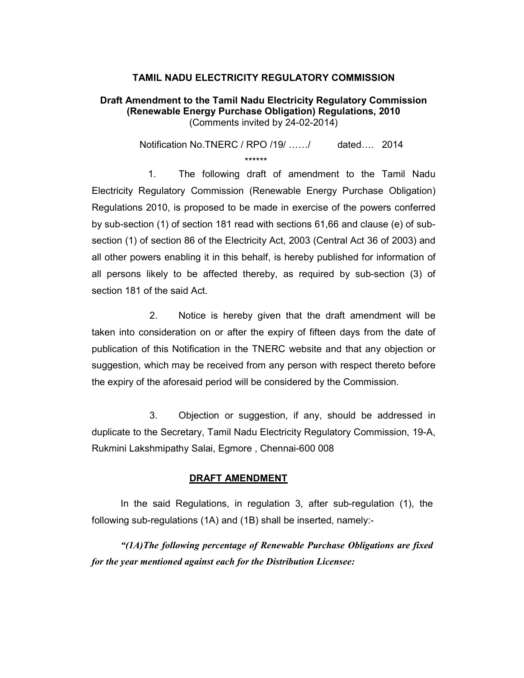## TAMIL NADU ELECTRICITY REGULATORY COMMISSION

## Draft Amendment to the Tamil Nadu Electricity Regulatory Commission (Renewable Energy Purchase Obligation) Regulations, 2010 (Comments invited by 24-02-2014)

Notification No.TNERC / RPO /19/ ....../ dated.... 2014 \*\*\*\*\*\*

 1. The following draft of amendment to the Tamil Nadu Electricity Regulatory Commission (Renewable Energy Purchase Obligation) Regulations 2010, is proposed to be made in exercise of the powers conferred by sub-section (1) of section 181 read with sections 61,66 and clause (e) of subsection (1) of section 86 of the Electricity Act, 2003 (Central Act 36 of 2003) and all other powers enabling it in this behalf, is hereby published for information of all persons likely to be affected thereby, as required by sub-section (3) of section 181 of the said Act.

 2. Notice is hereby given that the draft amendment will be taken into consideration on or after the expiry of fifteen days from the date of publication of this Notification in the TNERC website and that any objection or suggestion, which may be received from any person with respect thereto before the expiry of the aforesaid period will be considered by the Commission.

 3. Objection or suggestion, if any, should be addressed in duplicate to the Secretary, Tamil Nadu Electricity Regulatory Commission, 19-A, Rukmini Lakshmipathy Salai, Egmore , Chennai-600 008

## DRAFT AMENDMENT

In the said Regulations, in regulation 3, after sub-regulation (1), the following sub-regulations (1A) and (1B) shall be inserted, namely:-

"(1A)The following percentage of Renewable Purchase Obligations are fixed for the year mentioned against each for the Distribution Licensee: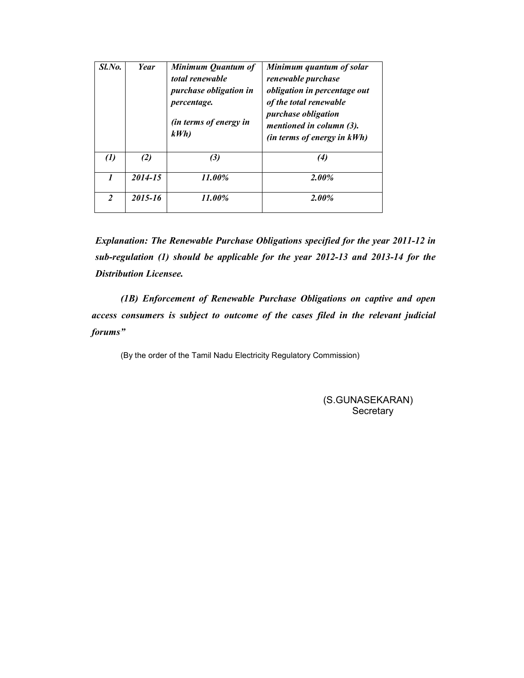| Sl.No.            | Year    | Minimum Quantum of<br>total renewable<br>purchase obligation in<br><i>percentage.</i><br>(in terms of energy in<br>kWh | Minimum quantum of solar<br>renewable purchase<br><i>obligation in percentage out</i><br>of the total renewable<br><i>purchase obligation</i><br>mentioned in column (3).<br>(in terms of energy in kWh) |
|-------------------|---------|------------------------------------------------------------------------------------------------------------------------|----------------------------------------------------------------------------------------------------------------------------------------------------------------------------------------------------------|
| $\left( l\right)$ | (2)     | (3)                                                                                                                    | $\left( 4\right)$                                                                                                                                                                                        |
| 1                 | 2014-15 | 11.00%                                                                                                                 | $2.00\%$                                                                                                                                                                                                 |
| 2                 | 2015-16 | 11.00%                                                                                                                 | $2.00\%$                                                                                                                                                                                                 |

Explanation: The Renewable Purchase Obligations specified for the year 2011-12 in sub-regulation (1) should be applicable for the year 2012-13 and 2013-14 for the Distribution Licensee.

(1B) Enforcement of Renewable Purchase Obligations on captive and open access consumers is subject to outcome of the cases filed in the relevant judicial forums"

(By the order of the Tamil Nadu Electricity Regulatory Commission)

(S.GUNASEKARAN) **Secretary**